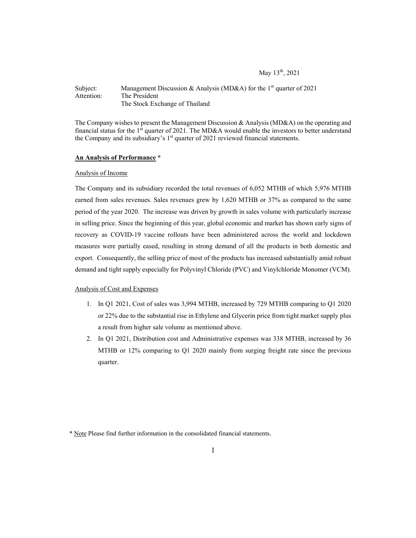# May 13<sup>th</sup>, 2021

## Subject: Management Discussion & Analysis (MD&A) for the 1<sup>st</sup> quarter of 2021 Attention: The President The Stock Exchange of Thailand

The Company wishes to present the Management Discussion & Analysis (MD&A) on the operating and financial status for the 1<sup>st</sup> quarter of 2021. The MD&A would enable the investors to better understand the Company and its subsidiary's  $1<sup>st</sup>$  quarter of 2021 reviewed financial statements.

### **An Analysis of Performance \***

### Analysis of Income

The Company and its subsidiary recorded the total revenues of 6,052 MTHB of which 5,976 MTHB earned from sales revenues. Sales revenues grew by 1,620 MTHB or 37% as compared to the same period of the year 2020. The increase was driven by growth in sales volume with particularly increase in selling price. Since the beginning of this year, global economic and market has shown early signs of recovery as COVID-19 vaccine rollouts have been administered across the world and lockdown measures were partially eased, resulting in strong demand of all the products in both domestic and export. Consequently, the selling price of most of the products has increased substantially amid robust demand and tight supply especially for Polyvinyl Chloride (PVC) and Vinylchloride Monomer (VCM).

### Analysis of Cost and Expenses

- 1. In Q1 2021, Cost of sales was 3,994 MTHB, increased by 729 MTHB comparing to Q1 2020 or 22% due to the substantial rise in Ethylene and Glycerin price from tight market supply plus a result from higher sale volume as mentioned above.
- 2. In Q1 2021, Distribution cost and Administrative expenses was 338 MTHB, increased by 36 MTHB or 12% comparing to Q1 2020 mainly from surging freight rate since the previous quarter.

<sup>\*</sup> Note Please find further information in the consolidated financial statements.